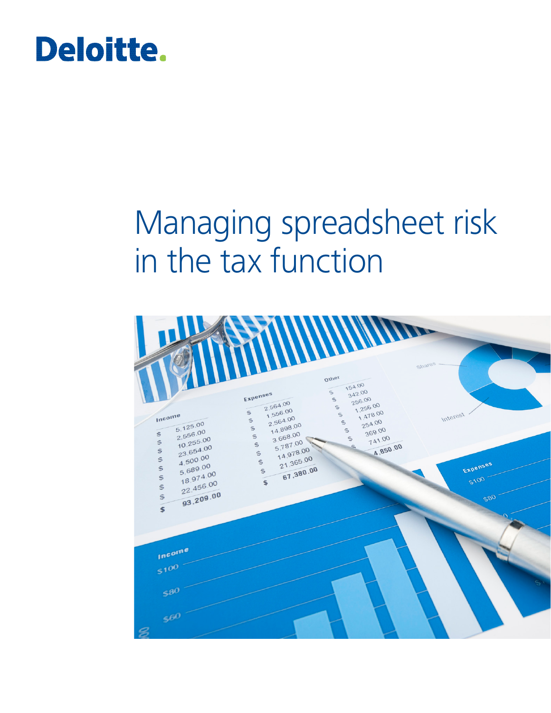# **Deloitte.**

# Managing spreadsheet risk in the tax function

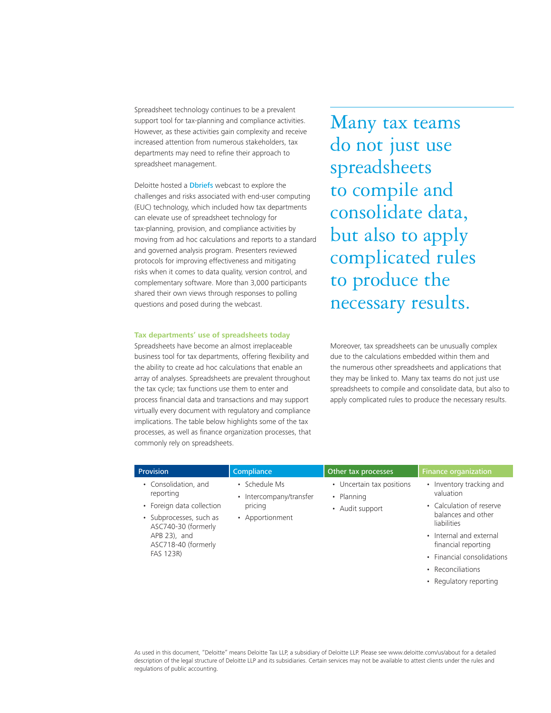Spreadsheet technology continues to be a prevalent support tool for tax-planning and compliance activities. However, as these activities gain complexity and receive increased attention from numerous stakeholders, tax departments may need to refine their approach to spreadsheet management.

Deloitte hosted a **[Dbriefs](http://www2.deloitte.com/us/en/pages/dbriefs-webcasts/series/tax-executives/tax-operations.html)** webcast to explore the challenges and risks associated with end-user computing (EUC) technology, which included how tax departments can elevate use of spreadsheet technology for tax-planning, provision, and compliance activities by moving from ad hoc calculations and reports to a standard and governed analysis program. Presenters reviewed protocols for improving effectiveness and mitigating risks when it comes to data quality, version control, and complementary software. More than 3,000 participants shared their own views through responses to polling questions and posed during the webcast.

#### **Tax departments' use of spreadsheets today**

Spreadsheets have become an almost irreplaceable business tool for tax departments, offering flexibility and the ability to create ad hoc calculations that enable an array of analyses. Spreadsheets are prevalent throughout the tax cycle; tax functions use them to enter and process financial data and transactions and may support virtually every document with regulatory and compliance implications. The table below highlights some of the tax processes, as well as finance organization processes, that commonly rely on spreadsheets.

Many tax teams do not just use spreadsheets to compile and consolidate data, but also to apply complicated rules to produce the necessary results.

Moreover, tax spreadsheets can be unusually complex due to the calculations embedded within them and the numerous other spreadsheets and applications that they may be linked to. Many tax teams do not just use spreadsheets to compile and consolidate data, but also to apply complicated rules to produce the necessary results.

| <b>Provision</b>                                                                                            | Compliance                                            | Other tax processes       | <b>Finance organization</b>                                   |
|-------------------------------------------------------------------------------------------------------------|-------------------------------------------------------|---------------------------|---------------------------------------------------------------|
| • Consolidation, and<br>reporting                                                                           | • Schedule Ms                                         | • Uncertain tax positions | • Inventory tracking and                                      |
|                                                                                                             | • Intercompany/transfer<br>pricing<br>• Apportionment | • Planning                | valuation                                                     |
| • Foreign data collection                                                                                   |                                                       | • Audit support           | • Calculation of reserve<br>balances and other<br>liabilities |
| • Subprocesses, such as<br>ASC740-30 (formerly<br>$APB$ 23), and<br>ASC718-40 (formerly<br><b>FAS 123R)</b> |                                                       |                           |                                                               |
|                                                                                                             |                                                       |                           | • Internal and external<br>financial reporting                |
|                                                                                                             |                                                       |                           | • Financial consolidations                                    |
|                                                                                                             |                                                       |                           | • Reconciliations                                             |
|                                                                                                             |                                                       |                           | • Regulatory reporting                                        |

As used in this document, "Deloitte" means Deloitte Tax LLP, a subsidiary of Deloitte LLP. Please see www.deloitte.com/us/about for a detailed description of the legal structure of Deloitte LLP and its subsidiaries. Certain services may not be available to attest clients under the rules and regulations of public accounting.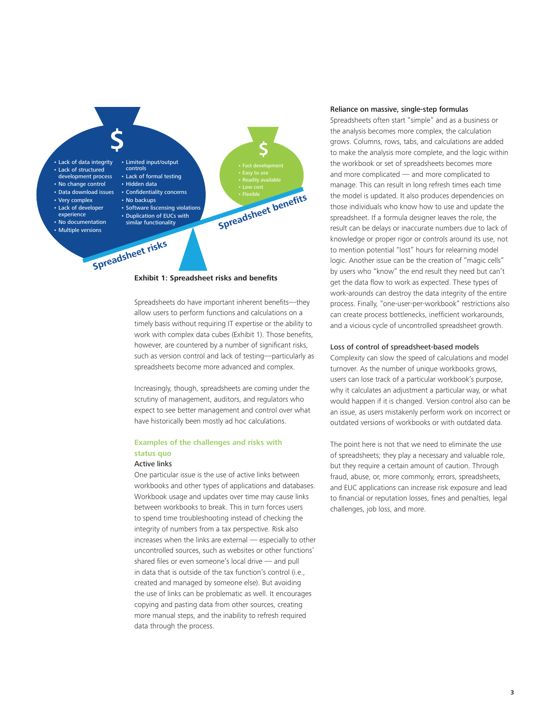

**Exhibit 1: Spreadsheet risks and benefits**

Spreadsheets do have important inherent benefits—they allow users to perform functions and calculations on a timely basis without requiring IT expertise or the ability to work with complex data cubes (Exhibit 1). Those benefits, however, are countered by a number of significant risks, such as version control and lack of testing—particularly as spreadsheets become more advanced and complex.

Increasingly, though, spreadsheets are coming under the scrutiny of management, auditors, and regulators who expect to see better management and control over what have historically been mostly ad hoc calculations.

# **Examples of the challenges and risks with status quo**

#### Active links

One particular issue is the use of active links between workbooks and other types of applications and databases. Workbook usage and updates over time may cause links between workbooks to break. This in turn forces users to spend time troubleshooting instead of checking the integrity of numbers from a tax perspective. Risk also increases when the links are external — especially to other uncontrolled sources, such as websites or other functions' shared files or even someone's local drive — and pull in data that is outside of the tax function's control (i.e., created and managed by someone else). But avoiding the use of links can be problematic as well. It encourages copying and pasting data from other sources, creating more manual steps, and the inability to refresh required data through the process.

#### Reliance on massive, single-step formulas

Spreadsheets often start "simple" and as a business or the analysis becomes more complex, the calculation grows. Columns, rows, tabs, and calculations are added to make the analysis more complete, and the logic within the workbook or set of spreadsheets becomes more and more complicated — and more complicated to manage. This can result in long refresh times each time the model is updated. It also produces dependencies on those individuals who know how to use and update the spreadsheet. If a formula designer leaves the role, the result can be delays or inaccurate numbers due to lack of knowledge or proper rigor or controls around its use, not to mention potential "lost" hours for relearning model logic. Another issue can be the creation of "magic cells" by users who "know" the end result they need but can't get the data flow to work as expected. These types of work-arounds can destroy the data integrity of the entire process. Finally, "one-user-per-workbook" restrictions also can create process bottlenecks, inefficient workarounds, and a vicious cycle of uncontrolled spreadsheet growth.

#### Loss of control of spreadsheet-based models

Complexity can slow the speed of calculations and model turnover. As the number of unique workbooks grows, users can lose track of a particular workbook's purpose, why it calculates an adjustment a particular way, or what would happen if it is changed. Version control also can be an issue, as users mistakenly perform work on incorrect or outdated versions of workbooks or with outdated data.

The point here is not that we need to eliminate the use of spreadsheets; they play a necessary and valuable role, but they require a certain amount of caution. Through fraud, abuse, or, more commonly, errors, spreadsheets, and EUC applications can increase risk exposure and lead to financial or reputation losses, fines and penalties, legal challenges, job loss, and more.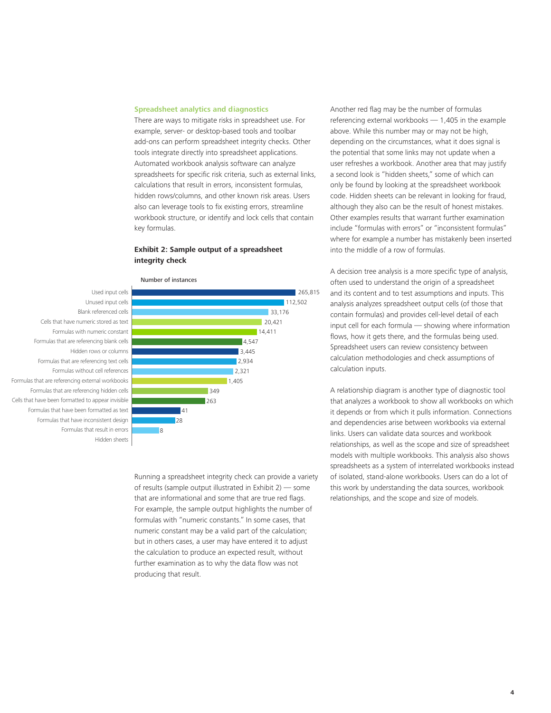#### **Spreadsheet analytics and diagnostics**

There are ways to mitigate risks in spreadsheet use. For example, server- or desktop-based tools and toolbar add-ons can perform spreadsheet integrity checks. Other tools integrate directly into spreadsheet applications. Automated workbook analysis software can analyze spreadsheets for specific risk criteria, such as external links, calculations that result in errors, inconsistent formulas, hidden rows/columns, and other known risk areas. Users also can leverage tools to fix existing errors, streamline workbook structure, or identify and lock cells that contain key formulas.

## **Exhibit 2: Sample output of a spreadsheet integrity check**





Running a spreadsheet integrity check can provide a variety of results (sample output illustrated in Exhibit 2) — some that are informational and some that are true red flags. For example, the sample output highlights the number of formulas with "numeric constants." In some cases, that numeric constant may be a valid part of the calculation; but in others cases, a user may have entered it to adjust the calculation to produce an expected result, without further examination as to why the data flow was not producing that result.

Another red flag may be the number of formulas referencing external workbooks — 1,405 in the example above. While this number may or may not be high, depending on the circumstances, what it does signal is the potential that some links may not update when a user refreshes a workbook. Another area that may justify a second look is "hidden sheets," some of which can only be found by looking at the spreadsheet workbook code. Hidden sheets can be relevant in looking for fraud, although they also can be the result of honest mistakes. Other examples results that warrant further examination include "formulas with errors" or "inconsistent formulas" where for example a number has mistakenly been inserted into the middle of a row of formulas.

A decision tree analysis is a more specific type of analysis, often used to understand the origin of a spreadsheet and its content and to test assumptions and inputs. This analysis analyzes spreadsheet output cells (of those that contain formulas) and provides cell-level detail of each input cell for each formula — showing where information flows, how it gets there, and the formulas being used. Spreadsheet users can review consistency between calculation methodologies and check assumptions of calculation inputs.

A relationship diagram is another type of diagnostic tool that analyzes a workbook to show all workbooks on which it depends or from which it pulls information. Connections and dependencies arise between workbooks via external links. Users can validate data sources and workbook relationships, as well as the scope and size of spreadsheet models with multiple workbooks. This analysis also shows spreadsheets as a system of interrelated workbooks instead of isolated, stand-alone workbooks. Users can do a lot of this work by understanding the data sources, workbook relationships, and the scope and size of models.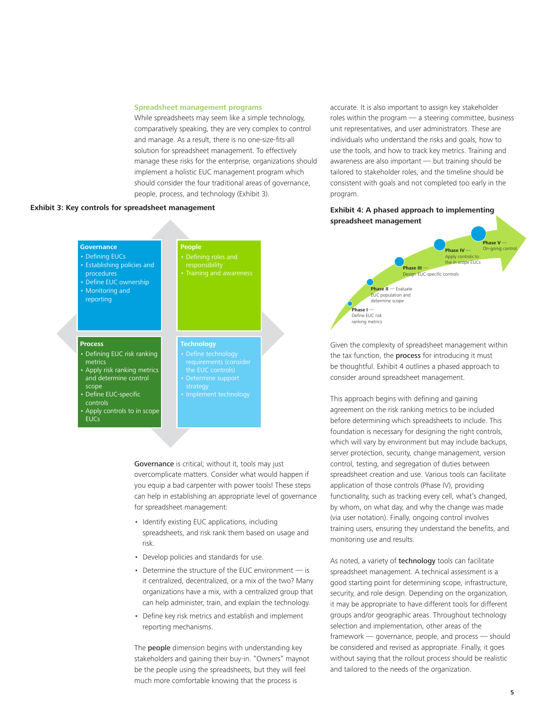#### **Spreadsheet management programs**

**People**

While spreadsheets may seem like a simple technology, comparatively speaking, they are very complex to control and manage. As a result, there is no one-size-fits-all solution for spreadsheet management. To effectively manage these risks for the enterprise, organizations should implement a holistic EUC management program which should consider the four traditional areas of governance, people, process, and technology (Exhibit 3).

## **Exhibit 3: Key controls for spreadsheet management**

accurate. It is also important to assign key stakeholder roles within the program — a steering committee, business unit representatives, and user administrators. These are individuals who understand the risks and goals, how to use the tools, and how to track key metrics. Training and awareness are also important — but training should be tailored to stakeholder roles, and the timeline should be consistent with goals and not completed too early in the program.

### **Exhibit 4: A phased approach to implementing spreadsheet management**



Given the complexity of spreadsheet management within the tax function, the **process** for introducing it must be thoughtful. Exhibit 4 outlines a phased approach to consider around spreadsheet management.

This approach begins with defining and gaining agreement on the risk ranking metrics to be included before determining which spreadsheets to include. This foundation is necessary for designing the right controls, which will vary by environment but may include backups, server protection, security, change management, version control, testing, and segregation of duties between spreadsheet creation and use. Various tools can facilitate application of those controls (Phase IV), providing functionality, such as tracking every cell, what's changed, by whom, on what day, and why the change was made (via user notation). Finally, ongoing control involves training users, ensuring they understand the benefits, and monitoring use and results.

As noted, a variety of technology tools can facilitate spreadsheet management. A technical assessment is a good starting point for determining scope, infrastructure, security, and role design. Depending on the organization, it may be appropriate to have different tools for different groups and/or geographic areas. Throughout technology selection and implementation, other areas of the framework — governance, people, and process — should be considered and revised as appropriate. Finally, it goes without saying that the rollout process should be realistic and tailored to the needs of the organization.

#### **Process**

**Governance** • Defining EUCs • Establishing policies and

 procedures • Define EUC ownership • Monitoring and reporting

- Defining EUC risk ranking metrics
- Apply risk ranking metrics and determine control scope
- Define EUC-specific controls
- Apply controls to in scope **EUCs**

**Technology**

• Defining roles and responsibility

- Determine support
- 

Governance is critical; without it, tools may just overcomplicate matters. Consider what would happen if you equip a bad carpenter with power tools! These steps can help in establishing an appropriate level of governance for spreadsheet management:

- Identify existing EUC applications, including spreadsheets, and risk rank them based on usage and risk.
- Develop policies and standards for use.
- Determine the structure of the EUC environment is it centralized, decentralized, or a mix of the two? Many organizations have a mix, with a centralized group that can help administer, train, and explain the technology.
- Define key risk metrics and establish and implement reporting mechanisms.

The **people** dimension begins with understanding key stakeholders and gaining their buy-in. "Owners" maynot be the people using the spreadsheets, but they will feel much more comfortable knowing that the process is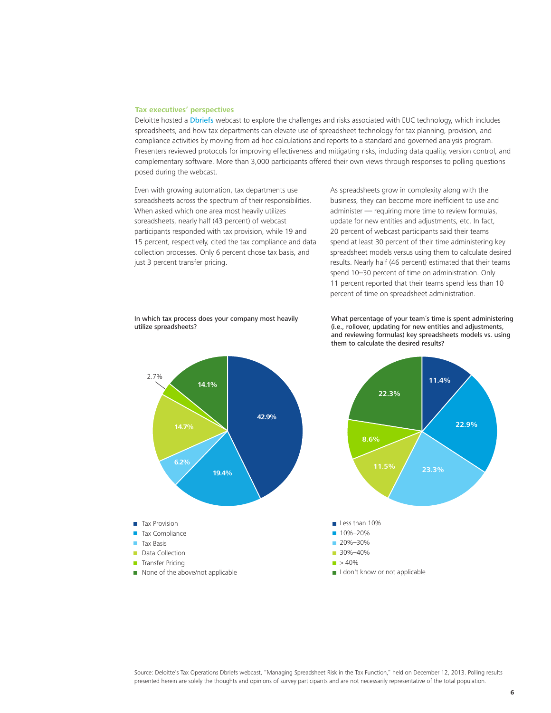#### **Tax executives' perspectives**

Deloitte hosted a [Dbriefs](http://www2.deloitte.com/us/en/pages/dbriefs-webcasts/series/tax-executives/tax-operations.html) webcast to explore the challenges and risks associated with EUC technology, which includes spreadsheets, and how tax departments can elevate use of spreadsheet technology for tax planning, provision, and compliance activities by moving from ad hoc calculations and reports to a standard and governed analysis program. Presenters reviewed protocols for improving effectiveness and mitigating risks, including data quality, version control, and complementary software. More than 3,000 participants offered their own views through responses to polling questions posed during the webcast.

Even with growing automation, tax departments use spreadsheets across the spectrum of their responsibilities. When asked which one area most heavily utilizes spreadsheets, nearly half (43 percent) of webcast participants responded with tax provision, while 19 and 15 percent, respectively, cited the tax compliance and data collection processes. Only 6 percent chose tax basis, and just 3 percent transfer pricing.

As spreadsheets grow in complexity along with the business, they can become more inefficient to use and administer — requiring more time to review formulas, update for new entities and adjustments, etc. In fact, 20 percent of webcast participants said their teams spend at least 30 percent of their time administering key spreadsheet models versus using them to calculate desired results. Nearly half (46 percent) estimated that their teams spend 10–30 percent of time on administration. Only 11 percent reported that their teams spend less than 10 percent of time on spreadsheet administration.

In which tax process does your company most heavily utilize spreadsheets?



What percentage of your team´s time is spent administering (i.e., rollover, updating for new entities and adjustments, and reviewing formulas) key spreadsheets models vs. using them to calculate the desired results?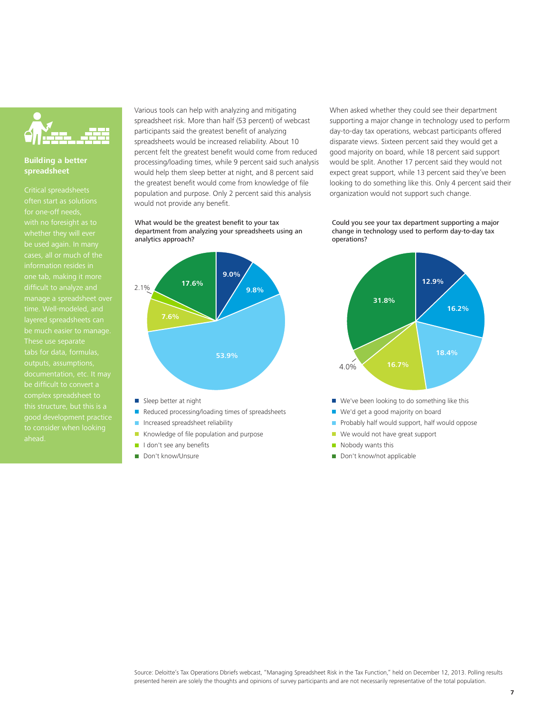

# **Building a better spreadsheet**

Critical spreadsheets for one-off needs, be used again. In many cases, all or much of the manage a spreadsheet over layered spreadsheets can be much easier to manage. complex spreadsheet to this structure, but this is a good development practice

Various tools can help with analyzing and mitigating spreadsheet risk. More than half (53 percent) of webcast participants said the greatest benefit of analyzing spreadsheets would be increased reliability. About 10 percent felt the greatest benefit would come from reduced processing/loading times, while 9 percent said such analysis would help them sleep better at night, and 8 percent said the greatest benefit would come from knowledge of file population and purpose. Only 2 percent said this analysis would not provide any benefit.

What would be the greatest benefit to your tax department from analyzing your spreadsheets using an analytics approach?



- Sleep better at night
- Reduced processing/loading times of spreadsheets
- **Increased spreadsheet reliability**
- Knowledge of file population and purpose
- I I don't see any benefits
- Don't know/Unsure

When asked whether they could see their department supporting a major change in technology used to perform day-to-day tax operations, webcast participants offered disparate views. Sixteen percent said they would get a good majority on board, while 18 percent said support would be split. Another 17 percent said they would not expect great support, while 13 percent said they've been looking to do something like this. Only 4 percent said their organization would not support such change.

#### Could you see your tax department supporting a major change in technology used to perform day-to-day tax operations?



- П
- m. We'd get a good majority on board
- Probably half would support, half would oppose
- m, We would not have great support
- $\blacksquare$  Nobody wants this
- Don't know/not applicable